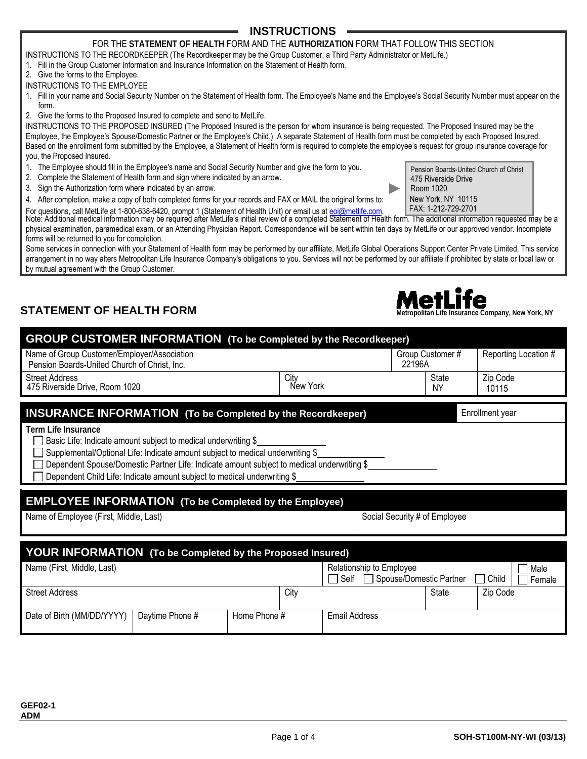## **INSTRUCTIONS**

#### FOR THE **STATEMENT OF HEALTH** FORM AND THE **AUTHORIZATION** FORM THAT FOLLOW THIS SECTION

INSTRUCTIONS TO THE RECORDKEEPER (The Recordkeeper may be the Group Customer, a Third Party Administrator or MetLife.)

- 1. Fill in the Group Customer Information and Insurance Information on the Statement of Health form.
- 2. Give the forms to the Employee.
- INSTRUCTIONS TO THE EMPLOYEE
- 1. Fill in your name and Social Security Number on the Statement of Health form. The Employee's Name and the Employee's Social Security Number must appear on the form.
- 2. Give the forms to the Proposed Insured to complete and send to MetLife.

INSTRUCTIONS TO THE PROPOSED INSURED (The Proposed Insured is the person for whom insurance is being requested. The Proposed Insured may be the Employee, the Employee's Spouse/Domestic Partner or the Employee's Child.) A separate Statement of Health form must be completed by each Proposed Insured. Based on the enrollment form submitted by the Employee, a Statement of Health form is required to complete the employee's request for group insurance coverage for you, the Proposed Insured.

- 1. The Employee should fill in the Employee's name and Social Security Number and give the form to you.
- 2. Complete the Statement of Health form and sign where indicated by an arrow.
- 3. Sign the Authorization form where indicated by an arrow.
- 4. After completion, make a copy of both completed forms for your records and FAX or MAIL the original forms to: New York, NY 10115<br>For questions, call Metlife at 1-800-638-6420, prompt 1 (Statement of Health Upit) or emai

For questions, call MetLife at 1-800-638-6420, prompt 1 (Statement of Health Unit) or email us at eoi@metlife.com. FAX: 1-212-729-2701 Note: Additional medical information may be required after MetLife's initial review of a completed Statement of Health form. The additional information requested may be a physical examination, paramedical exam, or an Attending Physician Report. Correspondence will be sent within ten days by MetLife or our approved vendor. Incomplete forms will be returned to you for completion.

Some services in connection with your Statement of Health form may be performed by our affiliate, MetLife Global Operations Support Center Private Limited. This service arrangement in no way alters Metropolitan Life Insurance Company's obligations to you. Services will not be performed by our affiliate if prohibited by state or local law or by mutual agreement with the Group Customer.

# **STATEMENT OF HEALTH FORM MANUSIAL CONSUMING THE USE OF LIFE**

**GEF02-1 ADM** 

| <b>GROUP CUSTOMER INFORMATION (To be Completed by the Recordkeeper)</b>                                                                                                                                                                                                                                                                                  |                 |              |                  |                                  |        |                               |                                         |
|----------------------------------------------------------------------------------------------------------------------------------------------------------------------------------------------------------------------------------------------------------------------------------------------------------------------------------------------------------|-----------------|--------------|------------------|----------------------------------|--------|-------------------------------|-----------------------------------------|
| Name of Group Customer/Employer/Association<br>Pension Boards-United Church of Christ, Inc.                                                                                                                                                                                                                                                              |                 |              |                  |                                  | 22196A | Group Customer #              | Reporting Location #                    |
| <b>Street Address</b><br>475 Riverside Drive, Room 1020                                                                                                                                                                                                                                                                                                  |                 |              | City<br>New York |                                  |        | <b>State</b><br><b>NY</b>     | Zip Code<br>10115                       |
| <b>INSURANCE INFORMATION (To be Completed by the Recordkeeper)</b>                                                                                                                                                                                                                                                                                       |                 |              |                  |                                  |        |                               | Enrollment year                         |
| <b>Term Life Insurance</b><br>Basic Life: Indicate amount subject to medical underwriting \$<br>Supplemental/Optional Life: Indicate amount subject to medical underwriting \$<br>Dependent Spouse/Domestic Partner Life: Indicate amount subject to medical underwriting \$<br>Dependent Child Life: Indicate amount subject to medical underwriting \$ |                 |              |                  |                                  |        |                               |                                         |
| <b>EMPLOYEE INFORMATION</b> (To be Completed by the Employee)                                                                                                                                                                                                                                                                                            |                 |              |                  |                                  |        |                               |                                         |
| Name of Employee (First, Middle, Last)                                                                                                                                                                                                                                                                                                                   |                 |              |                  |                                  |        | Social Security # of Employee |                                         |
| <b>YOUR INFORMATION</b> (To be Completed by the Proposed Insured)                                                                                                                                                                                                                                                                                        |                 |              |                  |                                  |        |                               |                                         |
| Name (First, Middle, Last)                                                                                                                                                                                                                                                                                                                               |                 |              |                  | Relationship to Employee<br>Self |        | Spouse/Domestic Partner       | Male<br>Child<br>$\mathbf{1}$<br>Female |
| <b>Street Address</b>                                                                                                                                                                                                                                                                                                                                    |                 |              | City             |                                  |        | State                         | Zip Code                                |
| Date of Birth (MM/DD/YYYY)                                                                                                                                                                                                                                                                                                                               | Daytime Phone # | Home Phone # |                  | <b>Email Address</b>             |        |                               |                                         |

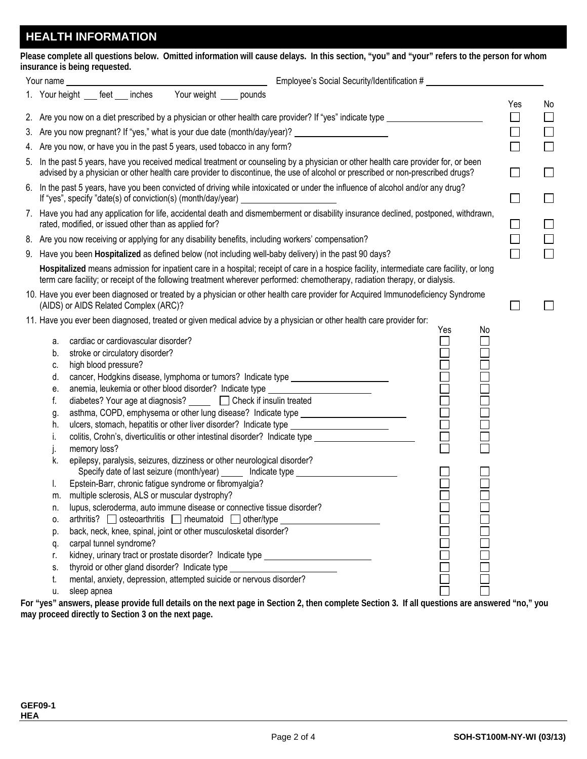# **HEALTH INFORMATION**

|                               | Please complete all questions below. Omitted information will cause delays. In this section, "you" and "your" refers to the person for whom |  |  |  |  |
|-------------------------------|---------------------------------------------------------------------------------------------------------------------------------------------|--|--|--|--|
| insurance is being requested. |                                                                                                                                             |  |  |  |  |

| Your name | Employee's Social Security/Identification #                                                                                                                                                                                                                           |                             |
|-----------|-----------------------------------------------------------------------------------------------------------------------------------------------------------------------------------------------------------------------------------------------------------------------|-----------------------------|
|           | Your weight _____ pounds<br>1. Your height ___ feet ___ inches                                                                                                                                                                                                        |                             |
|           | 2. Are you now on a diet prescribed by a physician or other health care provider? If "yes" indicate type ______________________________                                                                                                                               | Yes<br>$\Box$               |
|           |                                                                                                                                                                                                                                                                       |                             |
|           | 3. Are you now pregnant? If "yes," what is your due date (month/day/year)? ________________________                                                                                                                                                                   | $\Box$                      |
|           | 4. Are you now, or have you in the past 5 years, used tobacco in any form?                                                                                                                                                                                            | $\Box$                      |
|           | 5. In the past 5 years, have you received medical treatment or counseling by a physician or other health care provider for, or been<br>advised by a physician or other health care provider to discontinue, the use of alcohol or prescribed or non-prescribed drugs? | $\Box$                      |
|           | 6. In the past 5 years, have you been convicted of driving while intoxicated or under the influence of alcohol and/or any drug?<br>If "yes", specify "date(s) of conviction(s) (month/day/year) _<br><u> 1980 - Johann Barbara, martin a</u>                          | $\Box$                      |
|           | 7. Have you had any application for life, accidental death and dismemberment or disability insurance declined, postponed, withdrawn,<br>rated, modified, or issued other than as applied for?                                                                         | $\Box$                      |
|           | 8. Are you now receiving or applying for any disability benefits, including workers' compensation?                                                                                                                                                                    | $\Box$                      |
|           | 9. Have you been Hospitalized as defined below (not including well-baby delivery) in the past 90 days?                                                                                                                                                                | $\mathcal{L}_{\mathcal{A}}$ |
|           | Hospitalized means admission for inpatient care in a hospital; receipt of care in a hospice facility, intermediate care facility, or long                                                                                                                             |                             |
|           | term care facility; or receipt of the following treatment wherever performed: chemotherapy, radiation therapy, or dialysis.                                                                                                                                           |                             |
|           | 10. Have you ever been diagnosed or treated by a physician or other health care provider for Acquired Immunodeficiency Syndrome<br>(AIDS) or AIDS Related Complex (ARC)?                                                                                              |                             |
|           | 11. Have you ever been diagnosed, treated or given medical advice by a physician or other health care provider for:                                                                                                                                                   |                             |
|           | Yes                                                                                                                                                                                                                                                                   | No                          |
| а.        | cardiac or cardiovascular disorder?                                                                                                                                                                                                                                   |                             |
| b.        | stroke or circulatory disorder?                                                                                                                                                                                                                                       |                             |
| c.        | 0<br>0<br>0<br>0<br>0<br>high blood pressure?                                                                                                                                                                                                                         |                             |
| d.        | cancer, Hodgkins disease, lymphoma or tumors? Indicate type ____________________                                                                                                                                                                                      |                             |
| е.        | anemia, leukemia or other blood disorder? Indicate type ________________________                                                                                                                                                                                      |                             |
| f.        | diabetes? Your age at diagnosis? <u>Secondal</u> Check if insulin treated                                                                                                                                                                                             |                             |
| g.        | --<br>--<br>--<br>--<br>-<br>asthma, COPD, emphysema or other lung disease? Indicate type ____________________                                                                                                                                                        |                             |
| h.        | ulcers, stomach, hepatitis or other liver disorder? Indicate type ______________________                                                                                                                                                                              |                             |
| i.        | colitis, Crohn's, diverticulitis or other intestinal disorder? Indicate type ______________________                                                                                                                                                                   |                             |
| J.        | memory loss?                                                                                                                                                                                                                                                          |                             |
| k.        | epilepsy, paralysis, seizures, dizziness or other neurological disorder?<br>Specify date of last seizure (month/year) ______ Indicate type _________________                                                                                                          |                             |
| I.        | Epstein-Barr, chronic fatigue syndrome or fibromyalgia?                                                                                                                                                                                                               |                             |
| m.        | multiple sclerosis, ALS or muscular dystrophy?                                                                                                                                                                                                                        |                             |
| n.        | lupus, scleroderma, auto immune disease or connective tissue disorder?                                                                                                                                                                                                |                             |
| 0.        | $arthritis?$ osteoarthritis represented other/type                                                                                                                                                                                                                    |                             |
| p.        | back, neck, knee, spinal, joint or other musculosketal disorder?                                                                                                                                                                                                      |                             |
| q.        | carpal tunnel syndrome?                                                                                                                                                                                                                                               |                             |
| r.        | kidney, urinary tract or prostate disorder? Indicate type ______________________                                                                                                                                                                                      |                             |
| S.        | thyroid or other gland disorder? Indicate type _________________________________                                                                                                                                                                                      |                             |
| t.        | mental, anxiety, depression, attempted suicide or nervous disorder?                                                                                                                                                                                                   |                             |
| u.        | sleep apnea                                                                                                                                                                                                                                                           |                             |
|           |                                                                                                                                                                                                                                                                       |                             |

**For "yes" answers, please provide full details on the next page in Section 2, then complete Section 3. If all questions are answered "no," you may proceed directly to Section 3 on the next page.**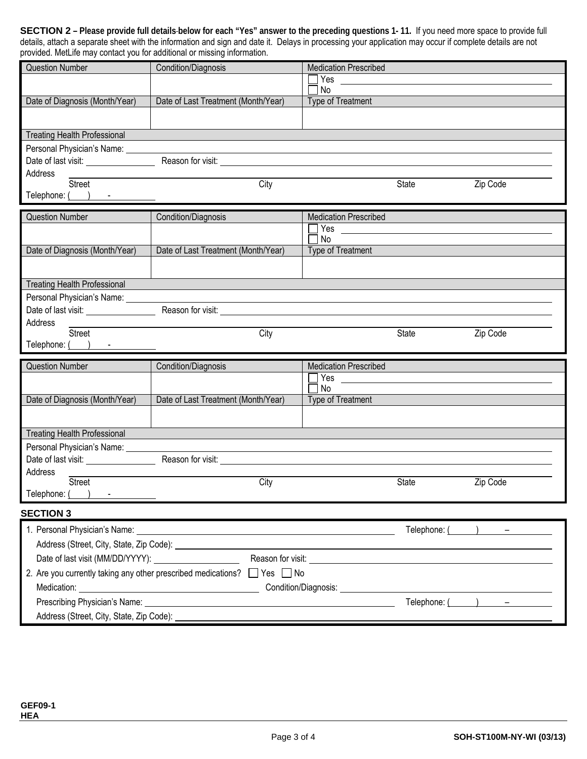| <b>SECTION 2</b> – Please provide full details-below for each "Yes" answer to the preceding questions 1-11. If you need more space to provide full      |
|---------------------------------------------------------------------------------------------------------------------------------------------------------|
| details, attach a separate sheet with the information and sign and date it. Delays in processing your application may occur if complete details are not |
| provided. MetLife may contact you for additional or missing information.                                                                                |

| provided. Metche may contact you for additional or missing imorniation. |                                                                                                                                                                                                                                     |                              |              |                                  |
|-------------------------------------------------------------------------|-------------------------------------------------------------------------------------------------------------------------------------------------------------------------------------------------------------------------------------|------------------------------|--------------|----------------------------------|
| <b>Question Number</b>                                                  | Condition/Diagnosis                                                                                                                                                                                                                 | <b>Medication Prescribed</b> |              |                                  |
|                                                                         |                                                                                                                                                                                                                                     | Yes $\_\_$<br>No             |              |                                  |
| Date of Diagnosis (Month/Year)                                          | Date of Last Treatment (Month/Year)                                                                                                                                                                                                 | Type of Treatment            |              |                                  |
|                                                                         |                                                                                                                                                                                                                                     |                              |              |                                  |
|                                                                         |                                                                                                                                                                                                                                     |                              |              |                                  |
| <b>Treating Health Professional</b>                                     |                                                                                                                                                                                                                                     |                              |              |                                  |
| Personal Physician's Name: __________                                   |                                                                                                                                                                                                                                     |                              |              |                                  |
|                                                                         | Date of last visit: <u>New York:</u> Reason for visit: New York: New York: New York: New York: New York: New York: New York: New York: New York: New York: New York: New York: New York: New York: New York: New York: New York: Ne |                              |              |                                  |
| Address                                                                 |                                                                                                                                                                                                                                     |                              |              |                                  |
| Street                                                                  | City                                                                                                                                                                                                                                |                              | <b>State</b> | Zip Code                         |
| Telephone: ( ) -                                                        |                                                                                                                                                                                                                                     |                              |              |                                  |
| <b>Question Number</b>                                                  | Condition/Diagnosis                                                                                                                                                                                                                 | <b>Medication Prescribed</b> |              |                                  |
|                                                                         |                                                                                                                                                                                                                                     |                              |              |                                  |
|                                                                         |                                                                                                                                                                                                                                     | No                           |              |                                  |
| Date of Diagnosis (Month/Year)                                          | Date of Last Treatment (Month/Year)                                                                                                                                                                                                 | Type of Treatment            |              |                                  |
|                                                                         |                                                                                                                                                                                                                                     |                              |              |                                  |
|                                                                         |                                                                                                                                                                                                                                     |                              |              |                                  |
| <b>Treating Health Professional</b>                                     |                                                                                                                                                                                                                                     |                              |              |                                  |
| Personal Physician's Name: Value of Personal Physician's Name:          |                                                                                                                                                                                                                                     |                              |              |                                  |
|                                                                         | Date of last visit: No. 2014 No. 2014 No. 2014 No. 2014 No. 2014 No. 2014 No. 2014 No. 2014 No. 2014 No. 2014 N                                                                                                                     |                              |              |                                  |
| Address<br>Street                                                       | City                                                                                                                                                                                                                                |                              | <b>State</b> | Zip Code                         |
|                                                                         |                                                                                                                                                                                                                                     |                              |              |                                  |
|                                                                         |                                                                                                                                                                                                                                     |                              |              |                                  |
| Telephone: $($ $)$ $-$                                                  |                                                                                                                                                                                                                                     |                              |              |                                  |
| <b>Question Number</b>                                                  | Condition/Diagnosis                                                                                                                                                                                                                 | <b>Medication Prescribed</b> |              |                                  |
|                                                                         |                                                                                                                                                                                                                                     |                              |              |                                  |
|                                                                         |                                                                                                                                                                                                                                     | No                           |              |                                  |
| Date of Diagnosis (Month/Year)                                          | Date of Last Treatment (Month/Year)                                                                                                                                                                                                 | Type of Treatment            |              |                                  |
|                                                                         |                                                                                                                                                                                                                                     |                              |              |                                  |
| <b>Treating Health Professional</b>                                     |                                                                                                                                                                                                                                     |                              |              |                                  |
| Personal Physician's Name: ________                                     |                                                                                                                                                                                                                                     |                              |              |                                  |
| Date of last visit: ________________                                    |                                                                                                                                                                                                                                     |                              |              |                                  |
| Address                                                                 |                                                                                                                                                                                                                                     |                              |              |                                  |
| <b>Street</b>                                                           | City                                                                                                                                                                                                                                |                              | State        | Zip Code                         |
| Telephone: (                                                            |                                                                                                                                                                                                                                     |                              |              |                                  |
| <b>SECTION 3</b>                                                        |                                                                                                                                                                                                                                     |                              |              |                                  |
|                                                                         |                                                                                                                                                                                                                                     |                              |              |                                  |
|                                                                         |                                                                                                                                                                                                                                     |                              |              | $\text{Telephone:}$ $($ $)$ $ -$ |
|                                                                         |                                                                                                                                                                                                                                     |                              |              |                                  |
| Date of last visit (MM/DD/YYYY): ______________________                 |                                                                                                                                                                                                                                     |                              |              |                                  |
|                                                                         |                                                                                                                                                                                                                                     |                              |              |                                  |
|                                                                         |                                                                                                                                                                                                                                     |                              |              |                                  |
|                                                                         |                                                                                                                                                                                                                                     |                              |              | $\text{Telephone:}$ ( ) $-$      |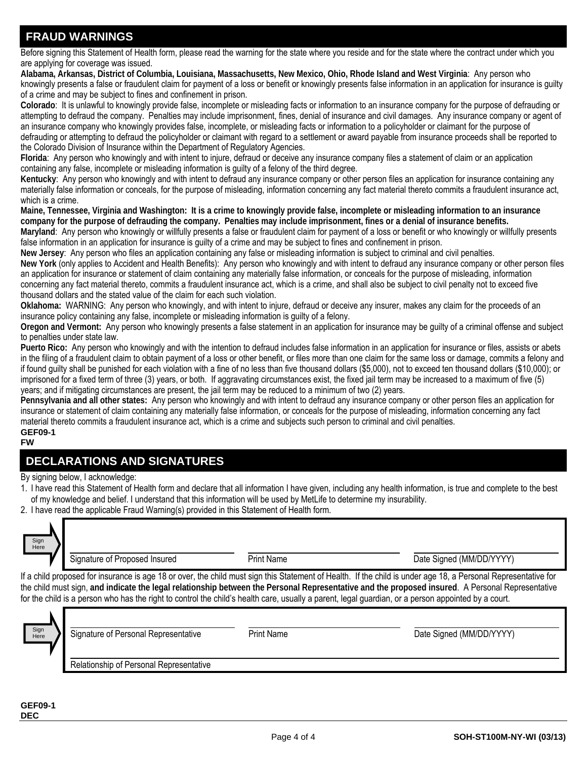#### **FRAUD WARNINGS**

Before signing this Statement of Health form, please read the warning for the state where you reside and for the state where the contract under which you are applying for coverage was issued.

**Alabama, Arkansas, District of Columbia, Louisiana, Massachusetts, New Mexico, Ohio, Rhode Island and West Virginia**: Any person who knowingly presents a false or fraudulent claim for payment of a loss or benefit or knowingly presents false information in an application for insurance is guilty of a crime and may be subject to fines and confinement in prison.

**Colorado**: It is unlawful to knowingly provide false, incomplete or misleading facts or information to an insurance company for the purpose of defrauding or attempting to defraud the company. Penalties may include imprisonment, fines, denial of insurance and civil damages. Any insurance company or agent of an insurance company who knowingly provides false, incomplete, or misleading facts or information to a policyholder or claimant for the purpose of defrauding or attempting to defraud the policyholder or claimant with regard to a settlement or award payable from insurance proceeds shall be reported to the Colorado Division of Insurance within the Department of Regulatory Agencies.

**Florida**: Any person who knowingly and with intent to injure, defraud or deceive any insurance company files a statement of claim or an application containing any false, incomplete or misleading information is guilty of a felony of the third degree.

**Kentucky**: Any person who knowingly and with intent to defraud any insurance company or other person files an application for insurance containing any materially false information or conceals, for the purpose of misleading, information concerning any fact material thereto commits a fraudulent insurance act, which is a crime.

**Maine, Tennessee, Virginia and Washington: It is a crime to knowingly provide false, incomplete or misleading information to an insurance company for the purpose of defrauding the company. Penalties may include imprisonment, fines or a denial of insurance benefits.**

**Maryland**: Any person who knowingly or willfully presents a false or fraudulent claim for payment of a loss or benefit or who knowingly or willfully presents false information in an application for insurance is quilty of a crime and may be subject to fines and confinement in prison.

**New Jersey**: Any person who files an application containing any false or misleading information is subject to criminal and civil penalties.

**New York** (only applies to Accident and Health Benefits): Any person who knowingly and with intent to defraud any insurance company or other person files an application for insurance or statement of claim containing any materially false information, or conceals for the purpose of misleading, information concerning any fact material thereto, commits a fraudulent insurance act, which is a crime, and shall also be subject to civil penalty not to exceed five thousand dollars and the stated value of the claim for each such violation.

**Oklahoma:** WARNING: Any person who knowingly, and with intent to injure, defraud or deceive any insurer, makes any claim for the proceeds of an insurance policy containing any false, incomplete or misleading information is guilty of a felony.

**Oregon and Vermont:** Any person who knowingly presents a false statement in an application for insurance may be guilty of a criminal offense and subject to penalties under state law.

**Puerto Rico:** Any person who knowingly and with the intention to defraud includes false information in an application for insurance or files, assists or abets in the filing of a fraudulent claim to obtain payment of a loss or other benefit, or files more than one claim for the same loss or damage, commits a felony and if found guilty shall be punished for each violation with a fine of no less than five thousand dollars (\$5,000), not to exceed ten thousand dollars (\$10,000); or imprisoned for a fixed term of three (3) years, or both. If aggravating circumstances exist, the fixed jail term may be increased to a maximum of five (5) years; and if mitigating circumstances are present, the jail term may be reduced to a minimum of two (2) years.

**Pennsylvania and all other states:** Any person who knowingly and with intent to defraud any insurance company or other person files an application for insurance or statement of claim containing any materially false information, or conceals for the purpose of misleading, information concerning any fact material thereto commits a fraudulent insurance act, which is a crime and subjects such person to criminal and civil penalties. **GEF09-1** 

#### **FW**

# **DECLARATIONS AND SIGNATURES**

By signing below, I acknowledge:

- 1. I have read this Statement of Health form and declare that all information I have given, including any health information, is true and complete to the best of my knowledge and belief. I understand that this information will be used by MetLife to determine my insurability.
- 2. I have read the applicable Fraud Warning(s) provided in this Statement of Health form.

| Sign<br>Here | Signature of Proposed Insured | <b>Print Name</b> | Date Signed (MM/DD/YYYY)                                                                                                                                                                                                                                                                                                                                                                                                                                                  |
|--------------|-------------------------------|-------------------|---------------------------------------------------------------------------------------------------------------------------------------------------------------------------------------------------------------------------------------------------------------------------------------------------------------------------------------------------------------------------------------------------------------------------------------------------------------------------|
|              |                               |                   | If a child proposed for insurance is age 18 or over, the child must sign this Statement of Health. If the child is under age 18, a Personal Representative for<br>the child must sign, and indicate the legal relationship between the Personal Representative and the proposed insured. A Personal Representative<br>for the child is a person who has the right to control the child's health care, usually a parent, legal guardian, or a person appointed by a court. |